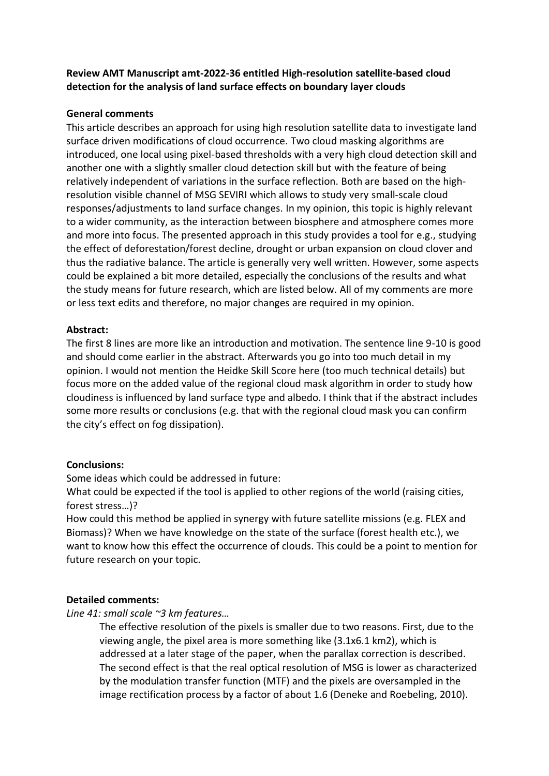# **Review AMT Manuscript amt-2022-36 entitled High-resolution satellite-based cloud detection for the analysis of land surface effects on boundary layer clouds**

# **General comments**

This article describes an approach for using high resolution satellite data to investigate land surface driven modifications of cloud occurrence. Two cloud masking algorithms are introduced, one local using pixel-based thresholds with a very high cloud detection skill and another one with a slightly smaller cloud detection skill but with the feature of being relatively independent of variations in the surface reflection. Both are based on the highresolution visible channel of MSG SEVIRI which allows to study very small-scale cloud responses/adjustments to land surface changes. In my opinion, this topic is highly relevant to a wider community, as the interaction between biosphere and atmosphere comes more and more into focus. The presented approach in this study provides a tool for e.g., studying the effect of deforestation/forest decline, drought or urban expansion on cloud clover and thus the radiative balance. The article is generally very well written. However, some aspects could be explained a bit more detailed, especially the conclusions of the results and what the study means for future research, which are listed below. All of my comments are more or less text edits and therefore, no major changes are required in my opinion.

# **Abstract:**

The first 8 lines are more like an introduction and motivation. The sentence line 9-10 is good and should come earlier in the abstract. Afterwards you go into too much detail in my opinion. I would not mention the Heidke Skill Score here (too much technical details) but focus more on the added value of the regional cloud mask algorithm in order to study how cloudiness is influenced by land surface type and albedo. I think that if the abstract includes some more results or conclusions (e.g. that with the regional cloud mask you can confirm the city's effect on fog dissipation).

# **Conclusions:**

Some ideas which could be addressed in future:

What could be expected if the tool is applied to other regions of the world (raising cities, forest stress…)?

How could this method be applied in synergy with future satellite missions (e.g. FLEX and Biomass)? When we have knowledge on the state of the surface (forest health etc.), we want to know how this effect the occurrence of clouds. This could be a point to mention for future research on your topic.

## **Detailed comments:**

*Line 41: small scale ~3 km features…*

The effective resolution of the pixels is smaller due to two reasons. First, due to the viewing angle, the pixel area is more something like (3.1x6.1 km2), which is addressed at a later stage of the paper, when the parallax correction is described. The second effect is that the real optical resolution of MSG is lower as characterized by the modulation transfer function (MTF) and the pixels are oversampled in the image rectification process by a factor of about 1.6 (Deneke and Roebeling, 2010).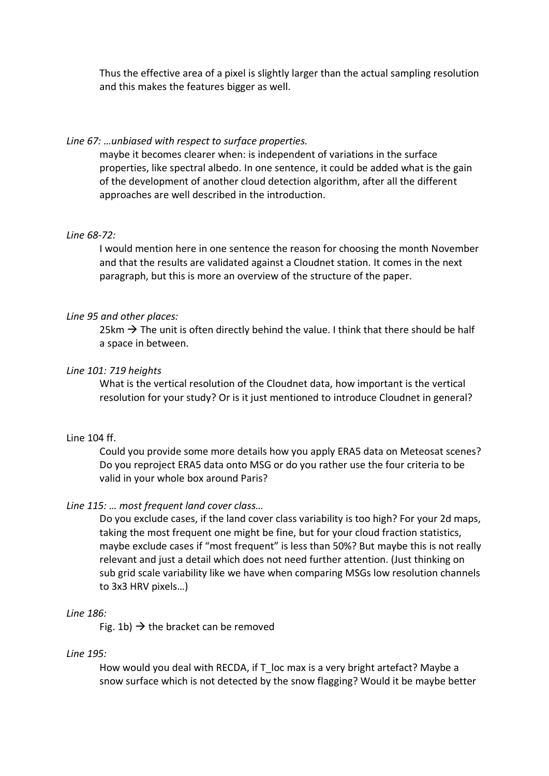Thus the effective area of a pixel is slightly larger than the actual sampling resolution and this makes the features bigger as well.

## *Line 67: …unbiased with respect to surface properties.*

maybe it becomes clearer when: is independent of variations in the surface properties, like spectral albedo. In one sentence, it could be added what is the gain of the development of another cloud detection algorithm, after all the different approaches are well described in the introduction.

## *Line 68-72:*

I would mention here in one sentence the reason for choosing the month November and that the results are validated against a Cloudnet station. It comes in the next paragraph, but this is more an overview of the structure of the paper.

## *Line 95 and other places:*

25km  $\rightarrow$  The unit is often directly behind the value. I think that there should be half a space in between.

## *Line 101: 719 heights*

What is the vertical resolution of the Cloudnet data, how important is the vertical resolution for your study? Or is it just mentioned to introduce Cloudnet in general?

### Line 104 ff.

Could you provide some more details how you apply ERA5 data on Meteosat scenes? Do you reproject ERA5 data onto MSG or do you rather use the four criteria to be valid in your whole box around Paris?

#### *Line 115: … most frequent land cover class…*

Do you exclude cases, if the land cover class variability is too high? For your 2d maps, taking the most frequent one might be fine, but for your cloud fraction statistics, maybe exclude cases if "most frequent" is less than 50%? But maybe this is not really relevant and just a detail which does not need further attention. (Just thinking on sub grid scale variability like we have when comparing MSGs low resolution channels to 3x3 HRV pixels…)

#### *Line 186:*

Fig. 1b)  $\rightarrow$  the bracket can be removed

#### *Line 195:*

How would you deal with RECDA, if T\_loc max is a very bright artefact? Maybe a snow surface which is not detected by the snow flagging? Would it be maybe better